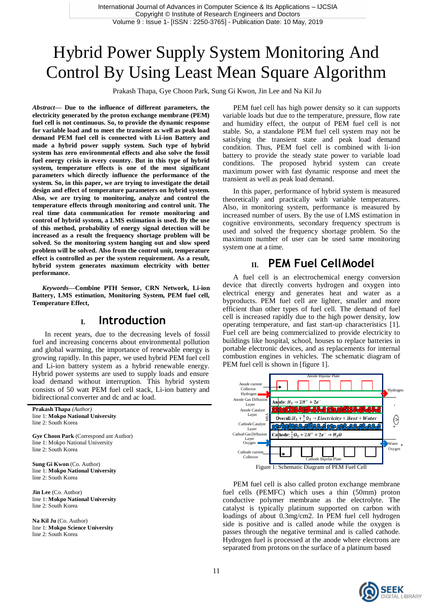## Hybrid Power Supply System Monitoring And Control By Using Least Mean Square Algorithm

Prakash Thapa, Gye Choon Park, Sung Gi Kwon, Jin Lee and Na Kil Ju

*Abstract—* **Due to the influence of different parameters, the electricity generated by the proton exchange membrane (PEM) fuel cell is not continuous. So, to provide the dynamic response for variable load and to meet the transient as well as peak load demand PEM fuel cell is connected with Li-ion Battery and made a hybrid power supply system. Such type of hybrid system has zero environmental effects and also solve the fossil fuel energy crisis in every country. But in this type of hybrid system, temperature effects is one of the most significant parameters which directly influence the performance of the system. So, in this paper, we are trying to investigate the detail design and effect of temperature parameters on hybrid system. Also, we are trying to monitoring, analyze and control the temperature effects through monitoring and control unit. The real time data communication for remote monitoring and control of hybrid system, a LMS estimation is used. By the use of this method, probability of energy signal detection will be increased as a result the frequency shortage problem will be solved. So the monitoring system hanging out and slow speed problem will be solved. Also from the control unit, temperature effect is controlled as per the system requirement. As a result, hybrid system generates maximum electricity with better performance.**

*Keywords—***Combine PTH Sensor, CRN Network, Li-ion Battery, LMS estimation, Monitoring System, PEM fuel cell, Temperature Effect,**

### **I. Introduction**

In recent years, due to the decreasing levels of fossil fuel and increasing concerns about environmental pollution and global warming, the importance of renewable energy is growing rapidly. In this paper, we used hybrid PEM fuel cell and Li-ion battery system as a hybrid renewable energy. Hybrid power systems are used to supply loads and ensure load demand without interruption. This hybrid system consists of 50 watt PEM fuel cell stack, Li-ion battery and bidirectional converter and dc and ac load.

**Prakash Thapa** *(Author)* line 1: **Mokpo National University** line 2: South Korea

**Gye Choon Park** (Correspond ant Author) line 1: Mokpo National University line 2: South Korea

**Sung Gi Kwon** (Co. Author) line 1: **Mokpo National University** line 2: South Korea

**Jin Lee** (Co. Author) line 1: **Mokpo National University** line 2: South Korea

**Na Kil Ju** (Co. Author) line 1: **Mokpo Science University** line 2: South Korea

PEM fuel cell has high power density so it can supports variable loads but due to the temperature, pressure, flow rate and humidity effect, the output of PEM fuel cell is not stable. So, a standalone PEM fuel cell system may not be satisfying the transient state and peak load demand condition. Thus, PEM fuel cell is combined with li-ion battery to provide the steady state power to variable load conditions. The proposed hybrid system can create maximum power with fast dynamic response and meet the transient as well as peak load demand.

In this paper, performance of hybrid system is measured theoretically and practically with variable temperatures. Also, in monitoring system, performance is measured by increased number of users. By the use of LMS estimation in cognitive environments, secondary frequency spectrum is used and solved the frequency shortage problem. So the maximum number of user can be used same monitoring system one at a time.

## **II. PEM Fuel CellModel**

A fuel cell is an electrochemical energy conversion device that directly converts hydrogen and oxygen into electrical energy and generates heat and water as a byproducts. PEM fuel cell are lighter, smaller and more efficient than other types of fuel cell. The demand of fuel cell is increased rapidly due to the high power density, low operating temperature, and fast start-up characteristics [1]. Fuel cell are being commercialized to provide electricity to buildings like hospital, school, houses to replace batteries in portable electronic devices, and as replacements for internal combustion engines in vehicles. The schematic diagram of PEM fuel cell is shown in [figure 1].



PEM fuel cell is also called proton exchange membrane fuel cells (PEMFC) which uses a thin (50mm) proton conductive polymer membrane as the electrolyte. The catalyst is typically platinum supported on carbon with loadings of about 0.3mg/cm2. In PEM fuel cell hydrogen side is positive and is called anode while the oxygen is passes through the negative terminal and is called cathode. Hydrogen fuel is processed at the anode where electrons are Example  $\frac{1}{2}$ <br>
Cathodc Catalyst<br>
Cathodc Catalyst<br>
Cathodca Diffusion<br>
Cathode:  $\frac{1}{2}O_2 + 2H^+ + 2e^- \rightarrow H_2O$ <br>
Cathodca current<br>
Cathode:  $\frac{1}{2}O_2 + 2H^+ + 2e^- \rightarrow H_2O$ <br>
Cathodca current<br>
Cathodca current<br>
Cathodca cur

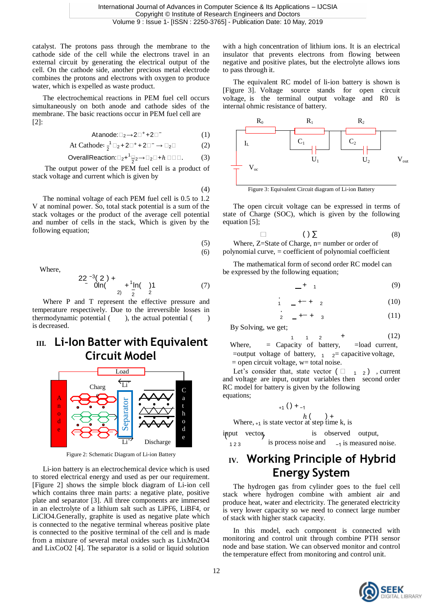catalyst. The protons pass through the membrane to the cathode side of the cell while the electrons travel in an external circuit by generating the electrical output of the cell. On the cathode side, another precious metal electrode combines the protons and electrons with oxygen to produce water, which is expelled as waste product.

The electrochemical reactions in PEM fuel cell occurs simultaneously on both anode and cathode sides of the membrane. The basic reactions occur in PEM fuel cell are  $[2]$ :

$$
At anode: \Box_2 \rightarrow 2\Box^+ + 2\Box^-
$$
 (1)

At Catholic: 
$$
\frac{1}{2} \square_2 + 2 \square^+ + 2 \square^- \rightarrow \square_2 \square
$$
 (2)  $I_L$ 

$$
\text{Overall Reaction:} \quad \Box_2 + \Box_2 \rightarrow \Box_2 \Box + h \Box \Box \Box. \tag{3}
$$

The output power of the PEM fuel cell is a product of stack voltage and current which is given by

(4)

The nominal voltage of each PEM fuel cell is 0.5 to 1.2 V at nominal power. So, total stack potential is a sum of the stack voltages or the product of the average cell potential and number of cells in the stack, Which is given by the following equation;

$$
(5)
$$

(6)

Where,

$$
22^{-3}(2) + \n\frac{1}{2} \ln(\frac{1}{2}) + \frac{1}{2} \ln(\frac{1}{2})
$$
 (7)

Where P and T represent the effective pressure and temperature respectively. Due to the irreversible losses in thermodynamic potential  $($ ), the actual potential  $($ ) is decreased.

### **III. Li-Ion Batter with Equivalent Circuit Model**



Figure 2: Schematic Diagram of Li-ion Battery

Li-ion battery is an electrochemical device which is used to stored electrical energy and used as per our requirement. [Figure 2] shows the simple block diagram of Li-ion cell which contains three main parts: a negative plate, positive plate and separator [3]. All three components are immersed in an electrolyte of a lithium salt such as LiPF6, LiBF4, or LiClO4.Generally, graphite is used as negative plate which is connected to the negative terminal whereas positive plate is connected to the positive terminal of the cell and is made from a mixture of several metal oxides such as LixMn2O4 and LixCoO2 [4]. The separator is a solid or liquid solution

with a high concentration of lithium ions. It is an electrical insulator that prevents electrons from flowing between negative and positive plates, but the electrolyte allows ions to pass through it.

The equivalent RC model of li-ion battery is shown is [Figure 3]. Voltage source stands for open circuit voltage, is the terminal output voltage and R0 is internal ohmic resistance of battery.



The open circuit voltage can be expressed in terms of state of Charge (SOC), which is given by the following equation [5];

$$
(\ )\sum \qquad \qquad (8)
$$

Where, Z=State of Charge, n= number or order of polynomial curve, = coefficient of polynomial coefficient

The mathematical form of second order RC model can be expressed by the following equation;

$$
\begin{array}{c}\n - + \quad 1 \tag{9}\n \end{array}
$$

1 + + <sup>2</sup> (10)

$$
\frac{1}{2} \quad - \quad + \quad \frac{1}{3} \tag{11}
$$

By Solving, we get;

֖֧֪ׅ֧֚֚֚֚֚֚֚֚֚֚֚֚֚֚֚֚֚֚֚֚֚֚֚֚֡֝֝֝֝֝֝֝֝֝֝֝

 $1 \t1 \t2 \t+$  (12) **Where** = Capacity of battery, =load current, =output voltage of battery,  $\frac{1}{2}$  2= capacitive voltage,  $=$  open circuit voltage, w $=$  total noise.

Let's consider that, state vector  $(\square_{1}^2)$ , current and voltage are input, output variables then second order RC model for battery is given by the following equations:

$$
(+1) + (-1)
$$

Where,  $_{+1}$  is state vector at step time k, is

 $\overrightarrow{Li}$  Discharge **input** vector, is observed output,  $123$  is process noise and  $-1$  is measured noise.

## **IV. Working Principle of Hybrid Energy System**

The hydrogen gas from cylinder goes to the fuel cell stack where hydrogen combine with ambient air and produce heat, water and electricity. The generated electricity is very lower capacity so we need to connect large number of stack with higher stack capacity.

In this model, each component is connected with monitoring and control unit through combine PTH sensor node and base station. We can observed monitor and control the temperature effect from monitoring and control unit.

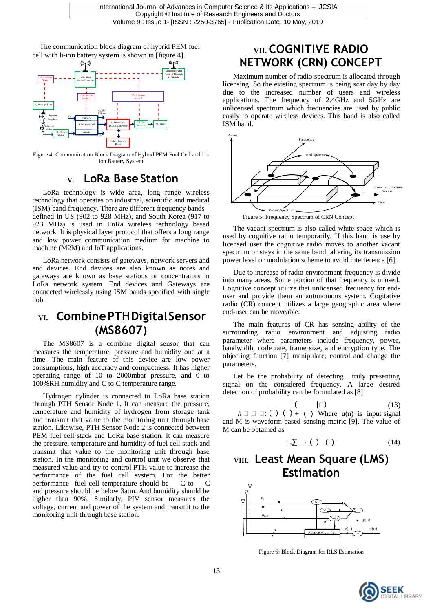The communication block diagram of hybrid PEM fuel The communication block diagram of hybrid PEM fuel **VII. COGNITIVE RADIO** cell with li-ion battery system is shown in [figure 4].



Figure 4: Communication Block Diagram of Hybrid PEM Fuel Cell and Liion Battery System

## **V. LoRa BaseStation**

LoRa technology is wide area, long range wireless technology that operates on industrial, scientific and medical  $(ISM)$  band frequency. There are different frequency bands defined in US (902 to 928 MHz), and South Korea (917 to 923 MHz) is used in LoRa wireless technology based network. It is physical layer protocol that offers a long range and low power communication medium for machine to machine (M2M) and IoT applications.

LoRa network consists of gateways, network servers and end devices. End devices are also known as notes and gateways are known as base stations or concentrators in LoRa network system. End devices and Gateways are connected wirelessly using ISM bands specified with single  $h \circ h$ 

### **VI. CombinePTHDigitalSensor (MS8607)**

The MS8607 is a combine digital sensor that can measures the temperature, pressure and humidity one at a time. The main feature of this device are low power consumptions, high accuracy and compactness. It has higher operating range of 10 to 2000mbar pressure, and 0 to 100%RH humidity and C to C temperature range.

Hydrogen cylinder is connected to LoRa base station through PTH Sensor Node 1. It can measure the pressure, temperature and humidity of hydrogen from storage tank and transmit that value to the monitoring unit through base station. Likewise, PTH Sensor Node 2 is connected between PEM fuel cell stack and LoRa base station. It can measure the pressure, temperature and humidity of fuel cell stack and transmit that value to the monitoring unit through base station. In the monitoring and control unit we observe that measured value and try to control PTH value to increase the performance of the fuel cell system. For the better performance fuel cell temperature should be C to C and pressure should be below 3atm. And humidity should be higher than 90%. Similarly, PIV sensor measures the voltage, current and power of the system and transmit to the monitoring unit through base station.

# **NETWORK (CRN) CONCEPT**

Maximum number of radio spectrum is allocated through licensing. So the existing spectrum is being scar day by day due to the increased number of users and wireless applications. The frequency of 2.4GHz and 5GHz are unlicensed spectrum which frequencies are used by public easily to operate wireless devices. This band is also called ISM band.



Figure 5: Frequency Spectrum of CRN Concept

The vacant spectrum is also called white space which is used by cognitive radio temporarily. If this band is use by licensed user the cognitive radio moves to another vacant spectrum or stays in the same band, altering its transmission power level or modulation scheme to avoid interference [6].

Due to increase of radio environment frequency is divide into many areas. Some portion of that frequency is unused. Cognitive concept utilize that unlicensed frequency for enduser and provide them an autonomous system. Cogitative radio (CR) concept utilizes a large geographic area where end-user can be moveable.

The main features of CR has sensing ability of the surrounding radio environment and adjusting radio parameter where parameters include frequency, power, bandwidth, code rate, frame size, and encryption type. The objecting function [7] manipulate, control and change the parameters.

Let be the probability of detecting truly presenting signal on the considered frequency. A large desired detection of probability can be formulated as [8]

 $|\Box)$  (13)  $h \square \square : ( ) ( ) + ( )$  Where u(n) is input signal and M is waveform-based sensing metric [9]. The value of M can be obtained as

$$
\Box, \Sigma \quad _1 \left( \begin{array}{c} 1 \end{array} \right) \quad ( )
$$

## **VIII. Least Mean Square (LMS) Estimation**



Figure 6: Block Diagram for RLS Estimation

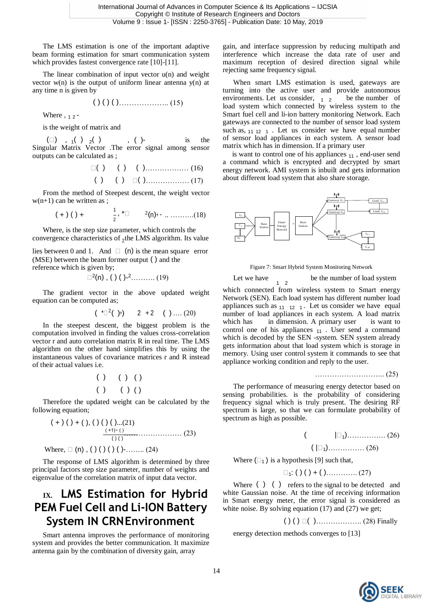The LMS estimation is one of the important adaptive beam forming estimation for smart communication system which provides fastest convergence rate [10]-[11].

The linear combination of input vector  $u(n)$  and weight vector  $w(n)$  is the output of uniform linear antenna  $y(n)$  at any time n is given by

( ) ( ) ( )……………….. (15)

Where  $, 12$ -

is the weight of matrix and

 $(\Box)$ ,  $_1(\ )$   $_2(\ )$ ,  $(\ )$ - is the Singular Matrix Vector .The error signal among sensor outputs can be calculated as ;

( ) ( ) ( )……………… (16) ( ) ( ) ( )……………… (17)

From the method of Steepest descent, the weight vector  $w(n+1)$  can be written as ;

$$
(+)( ) +
$$
  $\frac{1}{2}$ ,  $^* \square$   $^{2}(n) +$   $\ldots$  (18)

Where, is the step size parameter, which controls the convergence characteristics of  $_2$ the LMS algorithm. Its value

lies between 0 and 1. And  $\Box$  (n) is the mean square error (MSE) between the beam former output ( ) and the reference which is given by; Figure 7: Smart Hybrid System Monitoring Network

$$
\Box^2(n) , ( ) ( )-2 . . . . . . . . . (19)
$$

The gradient vector in the above updated weight equation can be computed as;

$$
(*1^2 (+)) \qquad 2 + 2 \qquad (*) \dots (20)
$$

In the steepest descent, the biggest problem is the computation involved in finding the values cross-correlation vector r and auto correlation matrix R in real time. The LMS algorithm on the other hand simplifies this by using the instantaneous values of covariance matrices r and R instead of their actual values i.e.

$$
\begin{array}{cc} ( \ ) & ( \ ) & ( \ ) \\ ( \ ) & ( \ ) & ( \ ) \end{array}
$$

Therefore the updated weight can be calculated by the following equation;

$$
(+)( ) + (), () ( ) ( )....(21)
$$
  

$$
\xrightarrow{\text{(+1)}- ()}
$$
  
Where,  $\square$  (n), () () () ( )  
......(24)

The response of LMS algorithm is determined by three principal factors step size parameter, number of weights and eigenvalue of the correlation matrix of input data vector.

## **IX. LMS Estimation for Hybrid PEM Fuel Cell and Li-ION Battery System IN CRNEnvironment**

Smart antenna improves the performance of monitoring system and provides the better communication. It maximize antenna gain by the combination of diversity gain, array

gain, and interface suppression by reducing multipath and interference which increase the data rate of user and maximum reception of desired direction signal while rejecting same frequency signal.

When smart LMS estimation is used, gateways are turning into the active user and provide autonomous environments. Let us consider,  $1/2$  be the number of load system which connected by wireless system to the Smart fuel cell and li-ion battery monitoring Network. Each gateways are connected to the number of sensor load system such as,  $11 \t12 \t1$ . Let us consider we have equal number of sensor load appliances in each system. A sensor load matrix which has in dimension. If a primary user

is want to control one of his appliances  $_{11}$ , end-user send a command which is encrypted and decrypted by smart energy network. AMI system is inbuilt and gets information about different load system that also share storage.



Let we have be the number of load system 1 2

which connected from wireless system to Smart energy Network (SEN). Each load system has different number load appliances such as  $_{11}$   $_{12}$  1. Let us consider we have equal number of load appliances in each system. A load matrix which has in dimension. A primary user is want to control one of his appliances  $_{11}$ . User send a command which is decoded by the SEN -system. SEN system already gets information about that load system which is storage in memory. Using user control system it commands to see that appliance working condition and reply to the user.

……………………….. (25)

The performance of measuring energy detector based on sensing probabilities. is the probability of considering frequency signal which is truly present. The desiring RF spectrum is large, so that we can formulate probability of spectrum as high as possible.

( |<sup>1</sup> )……………. (26) ( |<sup>1</sup> )…………… (26)

Where  $(\square_1)$  is a hypothesis [9] such that,

 $\Box_1$ : ( ) ( ) + ( )………….. (27)

Where ( ) ( ) refers to the signal to be detected and white Gaussian noise. At the time of receiving information in Smart energy meter, the error signal is considered as white noise. By solving equation (17) and (27) we get;

( ) ( ) ( )………………. (28) Finally

energy detection methods converges to [13]

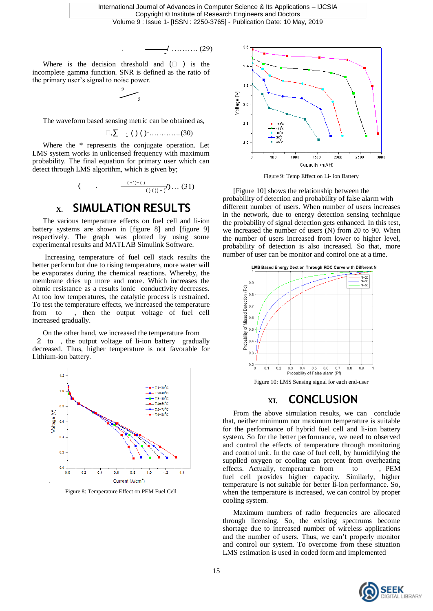International Journal of Advances in Computer Science & Its Applications – IJCSIA Copyright © Institute of Research Engineers and Doctors Volume 9 : Issue 1- [ISSN : 2250-3765] - Publication Date: 10 May, 2019

$$
\cdot \qquad \qquad \overline{\qquad \qquad } \qquad \qquad (29)
$$

Where is the decision threshold and  $(\Box)$  is the incomplete gamma function. SNR is defined as the ratio of the primary user's signal to noise power.

SNR is  
noise pow  

$$
\begin{array}{c}\n2 \\
2 \\
2\n\end{array}
$$

The waveform based sensing metric can be obtained as,

$$
\Box, \Sigma \quad \mathbf{1} \quad (\ ) \quad (\ ) \quad \mathbf{2} \quad \mathbf{3} \quad \mathbf{0}
$$

Where the \* represents the conjugate operation. Let LMS system works in unlicensed frequency with maximum probability. The final equation for primary user which can detect through LMS algorithm, which is given by;

$$
(\qquad \qquad . \qquad \frac{(+1)^{2} \cdot (\qquad \qquad }{(\qquad \qquad )\,(\,)(\,-\,)}\,/\,)\,\ldots\,(31)
$$

### **X. SIMULATION RESULTS**

The various temperature effects on fuel cell and li-ion battery systems are shown in [figure 8] and [figure 9] respectively. The graph was plotted by using some experimental results and MATLAB Simulink Software.

Increasing temperature of fuel cell stack results the better perform but due to rising temperature, more water will be evaporates during the chemical reactions. Whereby, the membrane dries up more and more. Which increases the ohmic resistance as a results ionic conductivity decreases. At too low temperatures, the catalytic process is restrained. To test the temperature effects, we increased the temperature from to , then the output voltage of fuel cell increased gradually.

On the other hand, we increased the temperature from 2 to , the output voltage of li-ion battery gradually decreased. Thus, higher temperature is not favorable for Lithium-ion battery.



Figure 8: Temperature Effect on PEM Fuel Cell



Figure 9: Temp Effect on Li- ion Battery

[Figure 10] shows the relationship between the probability of detection and probability of false alarm with different number of users. When number of users increases in the network, due to energy detection sensing technique the probability of signal detection gets enhanced. In this test, we increased the number of users (N) from 20 to 90. When the number of users increased from lower to higher level, probability of detection is also increased. So that, more number of user can be monitor and control one at a time.



Figure 10: LMS Sensing signal for each end-user

### **XI. CONCLUSION**

From the above simulation results, we can conclude that, neither minimum nor maximum temperature is suitable for the performance of hybrid fuel cell and li-ion battery system. So for the better performance, we need to observed and control the effects of temperature through monitoring and control unit. In the case of fuel cell, by humidifying the supplied oxygen or cooling can prevent from overheating effects. Actually, temperature from to , PEM fuel cell provides higher capacity. Similarly, higher temperature is not suitable for better li-ion performance. So, when the temperature is increased, we can control by proper cooling system.

Maximum numbers of radio frequencies are allocated through licensing. So, the existing spectrums become shortage due to increased number of wireless applications and the number of users. Thus, we can't properly monitor and control our system. To overcome from these situation LMS estimation is used in coded form and implemented